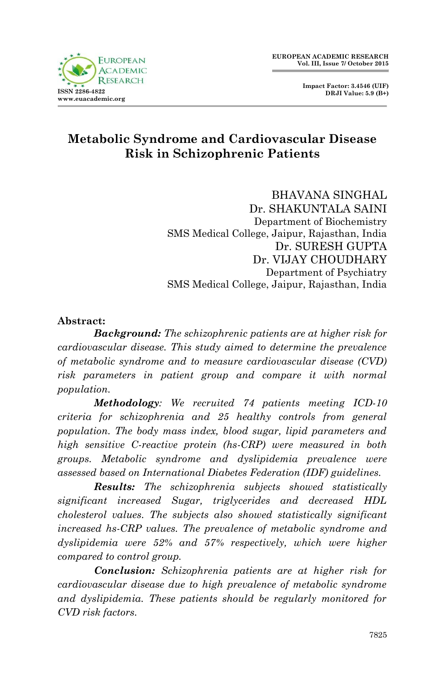



# **Metabolic Syndrome and Cardiovascular Disease Risk in Schizophrenic Patients**

BHAVANA SINGHAL Dr. SHAKUNTALA SAINI Department of Biochemistry SMS Medical College, Jaipur, Rajasthan, India Dr. SURESH GUPTA Dr. VIJAY CHOUDHARY Department of Psychiatry SMS Medical College, Jaipur, Rajasthan, India

#### **Abstract:**

*Background: The schizophrenic patients are at higher risk for cardiovascular disease. This study aimed to determine the prevalence of metabolic syndrome and to measure cardiovascular disease (CVD) risk parameters in patient group and compare it with normal population.*

*Methodology: We recruited 74 patients meeting ICD-10 criteria for schizophrenia and 25 healthy controls from general population. The body mass index, blood sugar, lipid parameters and high sensitive C-reactive protein (hs-CRP) were measured in both groups. Metabolic syndrome and dyslipidemia prevalence were assessed based on International Diabetes Federation (IDF) guidelines.*

*Results: The schizophrenia subjects showed statistically significant increased Sugar, triglycerides and decreased HDL cholesterol values. The subjects also showed statistically significant increased hs-CRP values. The prevalence of metabolic syndrome and dyslipidemia were 52% and 57% respectively, which were higher compared to control group.*

*Conclusion: Schizophrenia patients are at higher risk for cardiovascular disease due to high prevalence of metabolic syndrome and dyslipidemia. These patients should be regularly monitored for CVD risk factors.*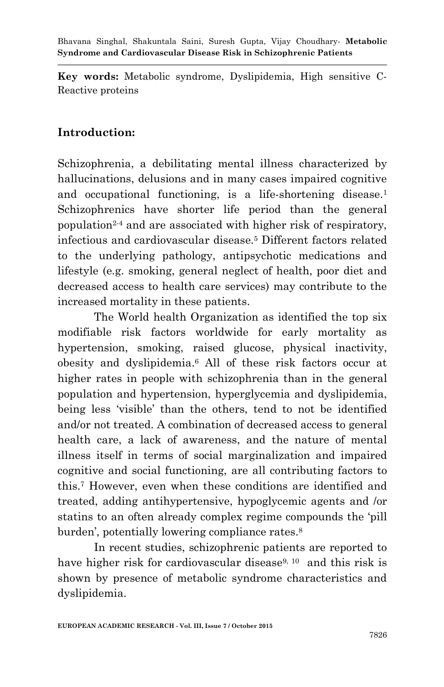**Key words:** Metabolic syndrome, Dyslipidemia, High sensitive C-Reactive proteins

## **Introduction:**

Schizophrenia, a debilitating mental illness characterized by hallucinations, delusions and in many cases impaired cognitive and occupational functioning, is a life-shortening disease.<sup>1</sup> Schizophrenics have shorter life period than the general population2-4 and are associated with higher risk of respiratory, infectious and cardiovascular disease.<sup>5</sup> Different factors related to the underlying pathology, antipsychotic medications and lifestyle (e.g. smoking, general neglect of health, poor diet and decreased access to health care services) may contribute to the increased mortality in these patients.

The World health Organization as identified the top six modifiable risk factors worldwide for early mortality as hypertension, smoking, raised glucose, physical inactivity, obesity and dyslipidemia. <sup>6</sup> All of these risk factors occur at higher rates in people with schizophrenia than in the general population and hypertension, hyperglycemia and dyslipidemia, being less "visible" than the others, tend to not be identified and/or not treated. A combination of decreased access to general health care, a lack of awareness, and the nature of mental illness itself in terms of social marginalization and impaired cognitive and social functioning, are all contributing factors to this. <sup>7</sup> However, even when these conditions are identified and treated, adding antihypertensive, hypoglycemic agents and /or statins to an often already complex regime compounds the "pill burden', potentially lowering compliance rates.<sup>8</sup>

In recent studies, schizophrenic patients are reported to have higher risk for cardiovascular disease<sup>9, 10</sup> and this risk is shown by presence of metabolic syndrome characteristics and dyslipidemia.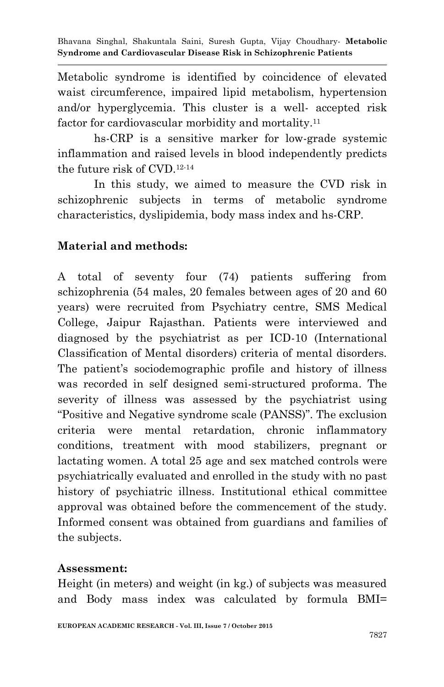Metabolic syndrome is identified by coincidence of elevated waist circumference, impaired lipid metabolism, hypertension and/or hyperglycemia. This cluster is a well- accepted risk factor for cardiovascular morbidity and mortality.<sup>11</sup>

hs-CRP is a sensitive marker for low-grade systemic inflammation and raised levels in blood independently predicts the future risk of CVD.12-14

In this study, we aimed to measure the CVD risk in schizophrenic subjects in terms of metabolic syndrome characteristics, dyslipidemia, body mass index and hs-CRP.

# **Material and methods:**

A total of seventy four (74) patients suffering from schizophrenia (54 males, 20 females between ages of 20 and 60 years) were recruited from Psychiatry centre, SMS Medical College, Jaipur Rajasthan. Patients were interviewed and diagnosed by the psychiatrist as per ICD-10 (International Classification of Mental disorders) criteria of mental disorders. The patient's sociodemographic profile and history of illness was recorded in self designed semi-structured proforma. The severity of illness was assessed by the psychiatrist using "Positive and Negative syndrome scale (PANSS)". The exclusion criteria were mental retardation, chronic inflammatory conditions, treatment with mood stabilizers, pregnant or lactating women. A total 25 age and sex matched controls were psychiatrically evaluated and enrolled in the study with no past history of psychiatric illness. Institutional ethical committee approval was obtained before the commencement of the study. Informed consent was obtained from guardians and families of the subjects.

### **Assessment:**

Height (in meters) and weight (in kg.) of subjects was measured and Body mass index was calculated by formula BMI=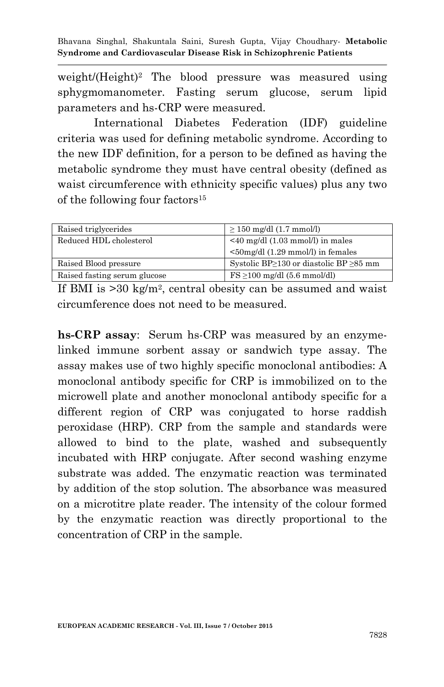Bhavana Singhal, Shakuntala Saini, Suresh Gupta, Vijay Choudhary*-* **Metabolic Syndrome and Cardiovascular Disease Risk in Schizophrenic Patients**

weight/(Height)<sup>2</sup> The blood pressure was measured using sphygmomanometer. Fasting serum glucose, serum lipid parameters and hs-CRP were measured.

International Diabetes Federation (IDF) guideline criteria was used for defining metabolic syndrome. According to the new IDF definition, for a person to be defined as having the metabolic syndrome they must have central obesity (defined as waist circumference with ethnicity specific values) plus any two of the following four factors<sup>15</sup>

| Raised triglycerides         | $\geq$ 150 mg/dl (1.7 mmol/l)                                                     |
|------------------------------|-----------------------------------------------------------------------------------|
| Reduced HDL cholesterol      | $\leq$ 40 mg/dl (1.03 mmol/l) in males<br>$\leq$ 50mg/dl (1.29 mmol/l) in females |
| Raised Blood pressure        | Systolic BP $\geq$ 130 or diastolic BP $\geq$ 85 mm                               |
| Raised fasting serum glucose | $\text{FS} \geq 100 \text{ mg/dl} (5.6 \text{ mmol/dl})$                          |

If BMI is >30 kg/m<sup>2</sup> , central obesity can be assumed and waist circumference does not need to be measured.

**hs-CRP assay**: Serum hs-CRP was measured by an enzymelinked immune sorbent assay or sandwich type assay. The assay makes use of two highly specific monoclonal antibodies: A monoclonal antibody specific for CRP is immobilized on to the microwell plate and another monoclonal antibody specific for a different region of CRP was conjugated to horse raddish peroxidase (HRP). CRP from the sample and standards were allowed to bind to the plate, washed and subsequently incubated with HRP conjugate. After second washing enzyme substrate was added. The enzymatic reaction was terminated by addition of the stop solution. The absorbance was measured on a microtitre plate reader. The intensity of the colour formed by the enzymatic reaction was directly proportional to the concentration of CRP in the sample.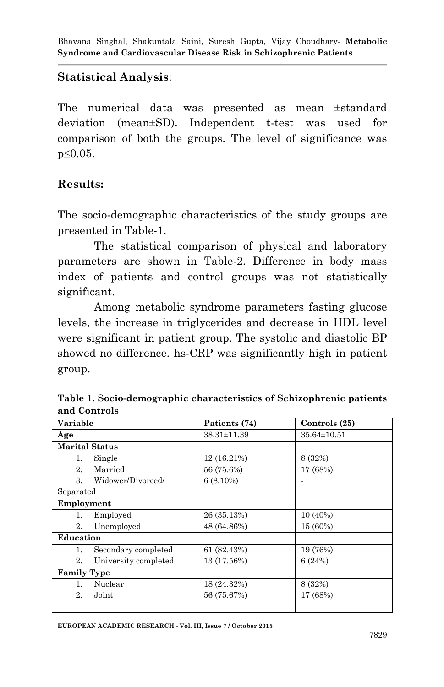### **Statistical Analysis**:

The numerical data was presented as mean ±standard deviation (mean±SD). Independent t-test was used for comparison of both the groups. The level of significance was p≤0.05.

### **Results:**

The socio-demographic characteristics of the study groups are presented in Table-1.

The statistical comparison of physical and laboratory parameters are shown in Table-2. Difference in body mass index of patients and control groups was not statistically significant.

Among metabolic syndrome parameters fasting glucose levels, the increase in triglycerides and decrease in HDL level were significant in patient group. The systolic and diastolic BP showed no difference. hs-CRP was significantly high in patient group.

| Table 1. Socio-demographic characteristics of Schizophrenic patients |  |
|----------------------------------------------------------------------|--|
| and Controls                                                         |  |

| Variable                   | Patients (74)     | Controls (25)     |
|----------------------------|-------------------|-------------------|
| Age                        | $38.31 \pm 11.39$ | $35.64 \pm 10.51$ |
| <b>Marital Status</b>      |                   |                   |
| Single<br>1.               | 12 (16.21%)       | 8 (32%)           |
| Married<br>2.              | 56 (75.6%)        | 17 (68%)          |
| Widower/Divorced/<br>3.    | $6(8.10\%)$       |                   |
| Separated                  |                   |                   |
| Employment                 |                   |                   |
| Employed<br>1.             | 26 (35.13%)       | 10 (40%)          |
| Unemployed<br>2.           | 48 (64.86%)       | 15 (60%)          |
| Education                  |                   |                   |
| Secondary completed<br>1.  | 61 (82.43%)       | 19 (76%)          |
| 2.<br>University completed | 13 (17.56%)       | 6(24%)            |
| <b>Family Type</b>         |                   |                   |
| Nuclear<br>1.              | 18 (24.32%)       | 8 (32%)           |
| 2.<br>Joint                | 56 (75.67%)       | 17 (68%)          |
|                            |                   |                   |

**EUROPEAN ACADEMIC RESEARCH - Vol. III, Issue 7 / October 2015**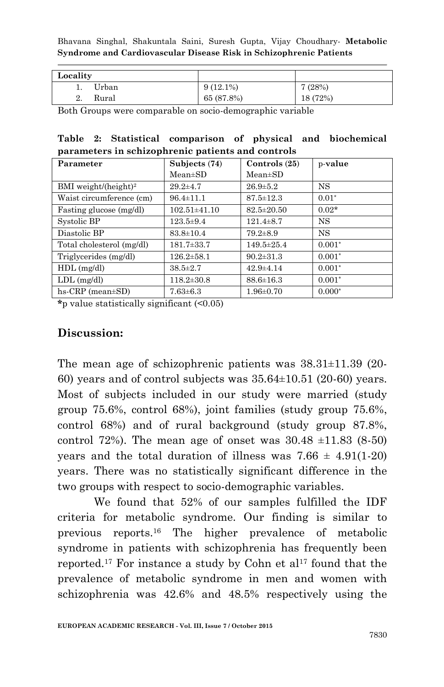Bhavana Singhal, Shakuntala Saini, Suresh Gupta, Vijay Choudhary*-* **Metabolic Syndrome and Cardiovascular Disease Risk in Schizophrenic Patients**

| Locality    |             |          |
|-------------|-------------|----------|
| Urban       | $9(12.1\%)$ | 7(28%)   |
| Rural<br>4. | 65 (87.8%)  | 18 (72%) |

Both Groups were comparable on socio-demographic variable

|  | Table 2: Statistical comparison of physical and biochemical |  |  |
|--|-------------------------------------------------------------|--|--|
|  | parameters in schizophrenic patients and controls           |  |  |

| Parameter                        | Subjects (74)    | Controls $(25)$  | p-value   |
|----------------------------------|------------------|------------------|-----------|
|                                  | $Mean \pm SD$    | $Mean \pm SD$    |           |
| BMI weight/(height) <sup>2</sup> | $29.2 \pm 4.7$   | $26.9 \pm 5.2$   | <b>NS</b> |
| Waist circumference (cm)         | $96.4 \pm 11.1$  | $87.5 \pm 12.3$  | $0.01*$   |
| Fasting glucose (mg/dl)          | 102.51±41.10     | $82.5 \pm 20.50$ | $0.02*$   |
| Systolic BP                      | $123.5 \pm 9.4$  | $121.4 \pm 8.7$  | <b>NS</b> |
| Diastolic BP                     | $83.8 \pm 10.4$  | $79.2 \pm 8.9$   | <b>NS</b> |
| Total cholesterol (mg/dl)        | $181.7 \pm 33.7$ | 149.5±25.4       | $0.001*$  |
| Triglycerides (mg/dl)            | $126.2 \pm 58.1$ | $90.2 \pm 31.3$  | $0.001*$  |
| $HDL$ (mg/dl)                    | $38.5 \pm 2.7$   | $42.9 \pm 4.14$  | $0.001*$  |
| $LDL$ (mg/dl)                    | $118.2 \pm 30.8$ | $88.6 \pm 16.3$  | $0.001*$  |
| $hs-CRP$ (mean $\pm SD$ )        | $7.63 \pm 6.3$   | $1.96 \pm 0.70$  | $0.000*$  |

**\***p value statistically significant (<0.05)

#### **Discussion:**

The mean age of schizophrenic patients was 38.31±11.39 (20- 60) years and of control subjects was  $35.64\pm10.51$  (20-60) years. Most of subjects included in our study were married (study group 75.6%, control 68%), joint families (study group 75.6%, control 68%) and of rural background (study group 87.8%, control 72%). The mean age of onset was  $30.48 \pm 11.83$  (8-50) years and the total duration of illness was  $7.66 \pm 4.91(1-20)$ years. There was no statistically significant difference in the two groups with respect to socio-demographic variables.

We found that 52% of our samples fulfilled the IDF criteria for metabolic syndrome. Our finding is similar to previous reports. <sup>16</sup> The higher prevalence of metabolic syndrome in patients with schizophrenia has frequently been reported.<sup>17</sup> For instance a study by Cohn et al<sup>17</sup> found that the prevalence of metabolic syndrome in men and women with schizophrenia was 42.6% and 48.5% respectively using the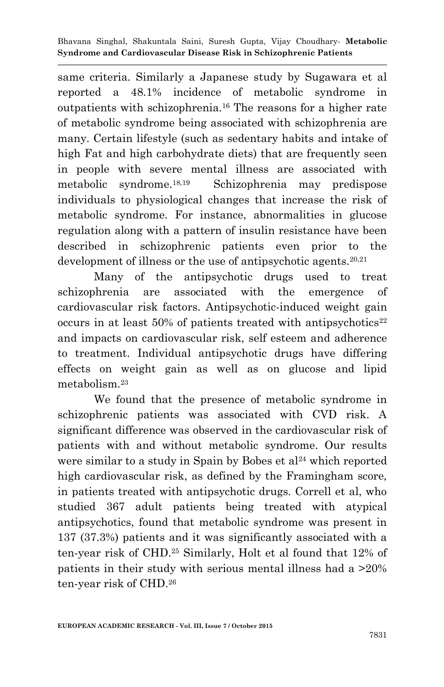same criteria. Similarly a Japanese study by Sugawara et al reported a 48.1% incidence of metabolic syndrome in outpatients with schizophrenia. <sup>16</sup> The reasons for a higher rate of metabolic syndrome being associated with schizophrenia are many. Certain lifestyle (such as sedentary habits and intake of high Fat and high carbohydrate diets) that are frequently seen in people with severe mental illness are associated with metabolic syndrome. 18,19 Schizophrenia may predispose individuals to physiological changes that increase the risk of metabolic syndrome. For instance, abnormalities in glucose regulation along with a pattern of insulin resistance have been described in schizophrenic patients even prior to the development of illness or the use of antipsychotic agents.<sup>20,21</sup>

Many of the antipsychotic drugs used to treat schizophrenia are associated with the emergence of cardiovascular risk factors. Antipsychotic-induced weight gain occurs in at least  $50\%$  of patients treated with antipsychotics<sup>22</sup> and impacts on cardiovascular risk, self esteem and adherence to treatment. Individual antipsychotic drugs have differing effects on weight gain as well as on glucose and lipid metabolism. 23

We found that the presence of metabolic syndrome in schizophrenic patients was associated with CVD risk. A significant difference was observed in the cardiovascular risk of patients with and without metabolic syndrome. Our results were similar to a study in Spain by Bobes et  $al<sup>24</sup>$  which reported high cardiovascular risk, as defined by the Framingham score, in patients treated with antipsychotic drugs. Correll et al, who studied 367 adult patients being treated with atypical antipsychotics, found that metabolic syndrome was present in 137 (37.3%) patients and it was significantly associated with a ten-year risk of CHD.<sup>25</sup> Similarly, Holt et al found that 12% of patients in their study with serious mental illness had a >20% ten-year risk of CHD. 26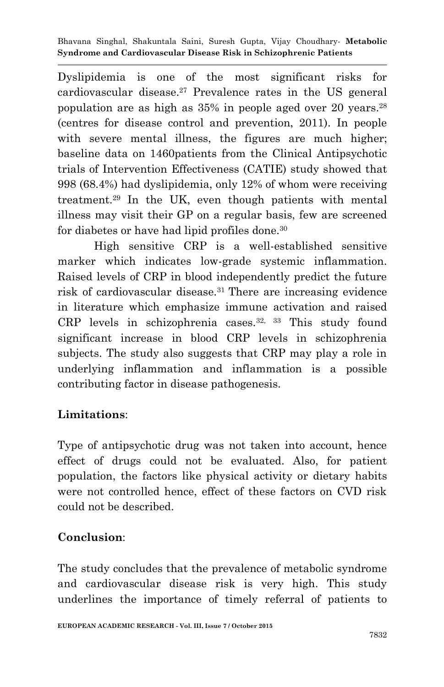Bhavana Singhal, Shakuntala Saini, Suresh Gupta, Vijay Choudhary*-* **Metabolic Syndrome and Cardiovascular Disease Risk in Schizophrenic Patients**

Dyslipidemia is one of the most significant risks for cardiovascular disease. <sup>27</sup> Prevalence rates in the US general population are as high as 35% in people aged over 20 years. 28 (centres for disease control and prevention, 2011). In people with severe mental illness, the figures are much higher; baseline data on 1460patients from the Clinical Antipsychotic trials of Intervention Effectiveness (CATIE) study showed that 998 (68.4%) had dyslipidemia, only 12% of whom were receiving treatment. <sup>29</sup> In the UK, even though patients with mental illness may visit their GP on a regular basis, few are screened for diabetes or have had lipid profiles done. 30

High sensitive CRP is a well-established sensitive marker which indicates low-grade systemic inflammation. Raised levels of CRP in blood independently predict the future risk of cardiovascular disease.<sup>31</sup> There are increasing evidence in literature which emphasize immune activation and raised CRP levels in schizophrenia cases.<sup>32, 33</sup> This study found significant increase in blood CRP levels in schizophrenia subjects. The study also suggests that CRP may play a role in underlying inflammation and inflammation is a possible contributing factor in disease pathogenesis.

## **Limitations**:

Type of antipsychotic drug was not taken into account, hence effect of drugs could not be evaluated. Also, for patient population, the factors like physical activity or dietary habits were not controlled hence, effect of these factors on CVD risk could not be described.

### **Conclusion**:

The study concludes that the prevalence of metabolic syndrome and cardiovascular disease risk is very high. This study underlines the importance of timely referral of patients to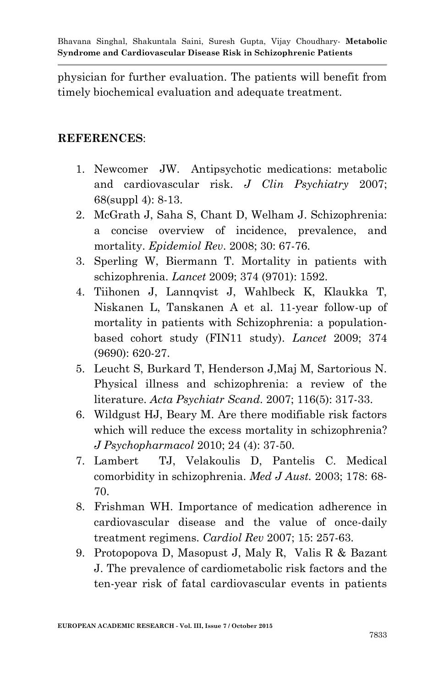physician for further evaluation. The patients will benefit from timely biochemical evaluation and adequate treatment.

### **REFERENCES**:

- 1. Newcomer JW. Antipsychotic medications: metabolic and cardiovascular risk. *J Clin Psychiatry* 2007; 68(suppl 4): 8-13.
- 2. McGrath J, Saha S, Chant D, Welham J. Schizophrenia: a concise overview of incidence, prevalence, and mortality. *Epidemiol Rev*. 2008; 30: 67-76.
- 3. Sperling W, Biermann T. Mortality in patients with schizophrenia. *Lancet* 2009; 374 (9701): 1592.
- 4. Tiihonen J, Lannqvist J, Wahlbeck K, Klaukka T, Niskanen L, Tanskanen A et al. 11-year follow-up of mortality in patients with Schizophrenia: a populationbased cohort study (FIN11 study). *Lancet* 2009; 374 (9690): 620-27.
- 5. Leucht S, Burkard T, Henderson J,Maj M, Sartorious N. Physical illness and schizophrenia: a review of the literature. *Acta Psychiatr Scand*. 2007; 116(5): 317-33.
- 6. Wildgust HJ, Beary M. Are there modifiable risk factors which will reduce the excess mortality in schizophrenia? *J Psychopharmacol* 2010; 24 (4): 37-50.
- 7. Lambert TJ, Velakoulis D, Pantelis C. Medical comorbidity in schizophrenia. *Med J Aust.* 2003; 178: 68- 70.
- 8. Frishman WH. Importance of medication adherence in cardiovascular disease and the value of once-daily treatment regimens. *Cardiol Rev* 2007; 15: 257-63.
- 9. Protopopova D, Masopust J, Maly R, Valis R & Bazant J. The prevalence of cardiometabolic risk factors and the ten-year risk of fatal cardiovascular events in patients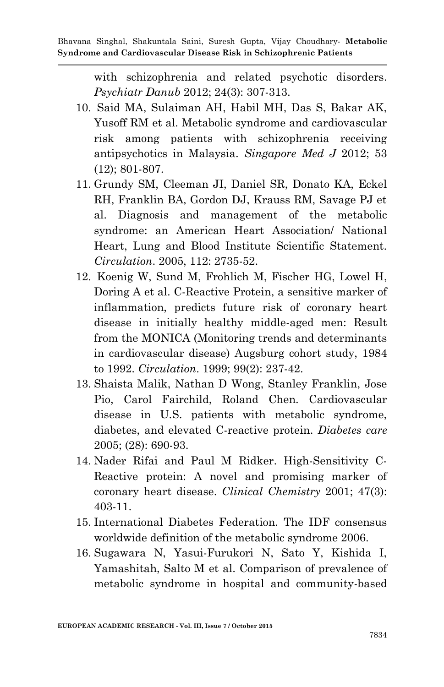with schizophrenia and related psychotic disorders. *Psychiatr Danub* 2012; 24(3): 307-313.

- 10. Said MA, Sulaiman AH, Habil MH, Das S, Bakar AK, Yusoff RM et al. Metabolic syndrome and cardiovascular risk among patients with schizophrenia receiving antipsychotics in Malaysia. *Singapore Med J* 2012; 53 (12); 801-807.
- 11. Grundy SM, Cleeman JI, Daniel SR, Donato KA, Eckel RH, Franklin BA, Gordon DJ, Krauss RM, Savage PJ et al. Diagnosis and management of the metabolic syndrome: an American Heart Association/ National Heart, Lung and Blood Institute Scientific Statement. *Circulation*. 2005, 112: 2735-52.
- 12. Koenig W, Sund M, Frohlich M, Fischer HG, Lowel H, Doring A et al. C-Reactive Protein, a sensitive marker of inflammation, predicts future risk of coronary heart disease in initially healthy middle-aged men: Result from the MONICA (Monitoring trends and determinants in cardiovascular disease) Augsburg cohort study, 1984 to 1992. *Circulation*. 1999; 99(2): 237-42.
- 13. Shaista Malik, Nathan D Wong, Stanley Franklin, Jose Pio, Carol Fairchild, Roland Chen. Cardiovascular disease in U.S. patients with metabolic syndrome, diabetes, and elevated C-reactive protein. *Diabetes care* 2005; (28): 690-93.
- 14. Nader Rifai and Paul M Ridker. High-Sensitivity C-Reactive protein: A novel and promising marker of coronary heart disease. *Clinical Chemistry* 2001; 47(3): 403-11.
- 15. International Diabetes Federation. The IDF consensus worldwide definition of the metabolic syndrome 2006.
- 16. Sugawara N, Yasui-Furukori N, Sato Y, Kishida I, Yamashitah, Salto M et al. Comparison of prevalence of metabolic syndrome in hospital and community-based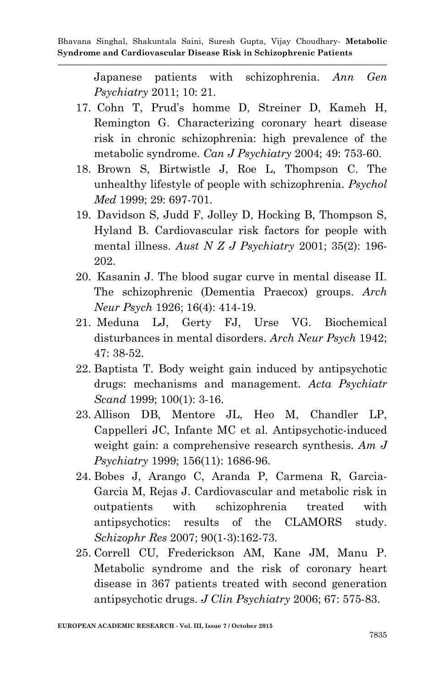Japanese patients with schizophrenia. *Ann Gen Psychiatry* 2011; 10: 21.

- 17. Cohn T, Prud"s homme D, Streiner D, Kameh H, Remington G. Characterizing coronary heart disease risk in chronic schizophrenia: high prevalence of the metabolic syndrome. *Can J Psychiatry* 2004; 49: 753-60.
- 18. Brown S, Birtwistle J, Roe L, Thompson C. The unhealthy lifestyle of people with schizophrenia. *Psychol Med* 1999; 29: 697-701.
- 19. Davidson S, Judd F, Jolley D, Hocking B, Thompson S, Hyland B. Cardiovascular risk factors for people with mental illness. *Aust N Z J Psychiatry* 2001; 35(2): 196- 202.
- 20. Kasanin J. The blood sugar curve in mental disease II. The schizophrenic (Dementia Praecox) groups. *Arch Neur Psych* 1926; 16(4): 414-19.
- 21. Meduna LJ, Gerty FJ, Urse VG. Biochemical disturbances in mental disorders. *Arch Neur Psych* 1942; 47: 38-52.
- 22. Baptista T. Body weight gain induced by antipsychotic drugs: mechanisms and management. *Acta Psychiatr Scand* 1999; 100(1): 3-16.
- 23. Allison DB, Mentore JL, Heo M, Chandler LP, Cappelleri JC, Infante MC et al. Antipsychotic-induced weight gain: a comprehensive research synthesis. *Am J Psychiatry* 1999; 156(11): 1686-96.
- 24. Bobes J, Arango C, Aranda P, Carmena R, Garcia-Garcia M, Rejas J. Cardiovascular and metabolic risk in outpatients with schizophrenia treated with antipsychotics: results of the CLAMORS study. *Schizophr Res* 2007; 90(1-3):162-73.
- 25. Correll CU, Frederickson AM, Kane JM, Manu P. Metabolic syndrome and the risk of coronary heart disease in 367 patients treated with second generation antipsychotic drugs. *J Clin Psychiatry* 2006; 67: 575-83.